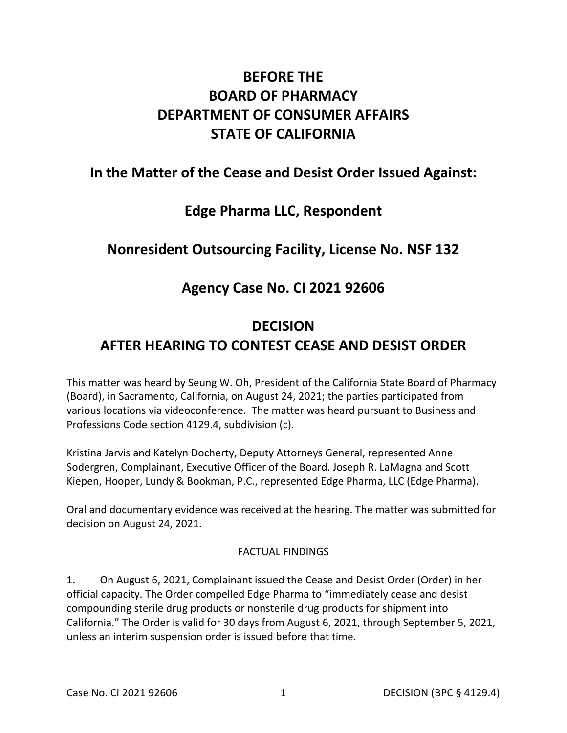# **BEFORE THE BOARD OF PHARMACY DEPARTMENT OF CONSUMER AFFAIRS STATE OF CALIFORNIA**

# **In the Matter of the Cease and Desist Order Issued Against:**

# **Edge Pharma LLC, Respondent**

# **Nonresident Outsourcing Facility, License No. NSF 132**

# **Agency Case No. CI 2021 92606**

# **DECISION AFTER HEARING TO CONTEST CEASE AND DESIST ORDER**

 Professions Code section 4129.4, subdivision (c). This matter was heard by Seung W. Oh, President of the California State Board of Pharmacy (Board), in Sacramento, California, on August 24, 2021; the parties participated from various locations via videoconference. The matter was heard pursuant to Business and

 Kiepen, Hooper, Lundy & Bookman, P.C., represented Edge Pharma, LLC (Edge Pharma). Kristina Jarvis and Katelyn Docherty, Deputy Attorneys General, represented Anne Sodergren, Complainant, Executive Officer of the Board. Joseph R. LaMagna and Scott

 Oral and documentary evidence was received at the hearing. The matter was submitted for decision on August 24, 2021.

### FACTUAL FINDINGS

 1. On August 6, 2021, Complainant issued the Cease and Desist Order (Order) in her official capacity. The Order compelled Edge Pharma to "immediately cease and desist compounding sterile drug products or nonsterile drug products for shipment into California." The Order is valid for 30 days from August 6, 2021, through September 5, 2021, unless an interim suspension order is issued before that time.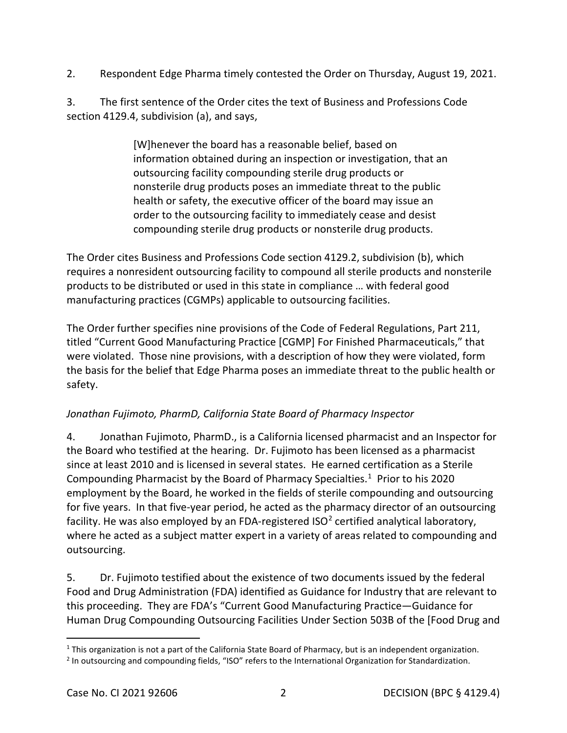2. Respondent Edge Pharma timely contested the Order on Thursday, August 19, 2021.

 section 4129.4, subdivision (a), and says, 3. The first sentence of the Order cites the text of Business and Professions Code

> [W]henever the board has a reasonable belief, based on outsourcing facility compounding sterile drug products or information obtained during an inspection or investigation, that an nonsterile drug products poses an immediate threat to the public health or safety, the executive officer of the board may issue an order to the outsourcing facility to immediately cease and desist compounding sterile drug products or nonsterile drug products.

 requires a nonresident outsourcing facility to compound all sterile products and nonsterile products to be distributed or used in this state in compliance … with federal good manufacturing practices (CGMPs) applicable to outsourcing facilities. The Order cites Business and Professions Code section 4129.2, subdivision (b), which

 the basis for the belief that Edge Pharma poses an immediate threat to the public health or The Order further specifies nine provisions of the Code of Federal Regulations, Part 211, titled "Current Good Manufacturing Practice [CGMP] For Finished Pharmaceuticals," that were violated. Those nine provisions, with a description of how they were violated, form safety.

### *Jonathan Fujimoto, PharmD, California State Board of Pharmacy Inspector*

 4. Jonathan Fujimoto, PharmD., is a California licensed pharmacist and an Inspector for Compounding Pharmacist by the Board of Pharmacy Specialties. [1](#page-1-0) Prior to his 2020 for five years. In that five-year period, he acted as the pharmacy director of an outsourcing facility. He was also employed by an FDA-registered ISO<sup>2</sup> certified analytical laboratory, the Board who testified at the hearing. Dr. Fujimoto has been licensed as a pharmacist since at least 2010 and is licensed in several states. He earned certification as a Sterile employment by the Board, he worked in the fields of sterile compounding and outsourcing where he acted as a subject matter expert in a variety of areas related to compounding and outsourcing.

 5. Dr. Fujimoto testified about the existence of two documents issued by the federal this proceeding. They are FDA's "Current Good Manufacturing Practice—Guidance for Food and Drug Administration (FDA) identified as Guidance for Industry that are relevant to Human Drug Compounding Outsourcing Facilities Under Section 503B of the [Food Drug and

<span id="page-1-1"></span><span id="page-1-0"></span><sup>&</sup>lt;sup>1</sup> This organization is not a part of the California State Board of Pharmacy, but is an independent organization.<br><sup>2</sup> In outsourcing and compounding fields, "ISO" refers to the International Organization for Standardizat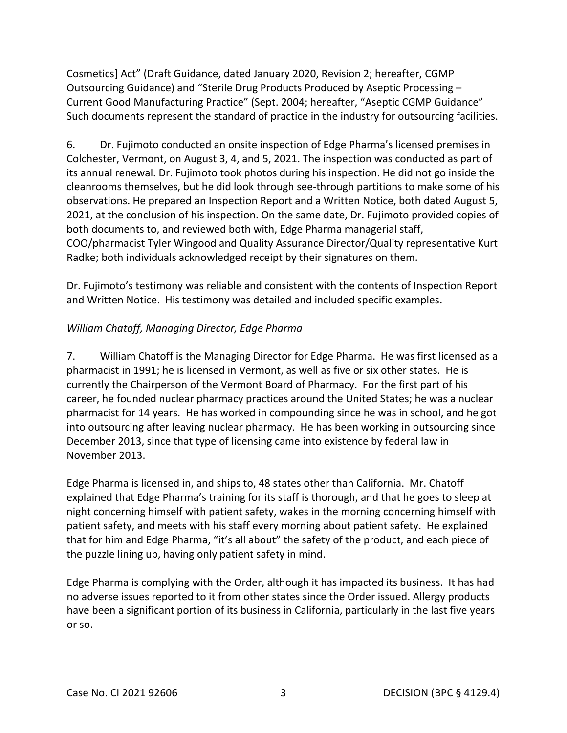Cosmetics] Act" (Draft Guidance, dated January 2020, Revision 2; hereafter, CGMP Such documents represent the standard of practice in the industry for outsourcing facilities. Outsourcing Guidance) and "Sterile Drug Products Produced by Aseptic Processing – Current Good Manufacturing Practice" (Sept. 2004; hereafter, "Aseptic CGMP Guidance"

 cleanrooms themselves, but he did look through see-through partitions to make some of his Radke; both individuals acknowledged receipt by their signatures on them. 6. Dr. Fujimoto conducted an onsite inspection of Edge Pharma's licensed premises in Colchester, Vermont, on August 3, 4, and 5, 2021. The inspection was conducted as part of its annual renewal. Dr. Fujimoto took photos during his inspection. He did not go inside the observations. He prepared an Inspection Report and a Written Notice, both dated August 5, 2021, at the conclusion of his inspection. On the same date, Dr. Fujimoto provided copies of both documents to, and reviewed both with, Edge Pharma managerial staff, COO/pharmacist Tyler Wingood and Quality Assurance Director/Quality representative Kurt

 and Written Notice. His testimony was detailed and included specific examples. Dr. Fujimoto's testimony was reliable and consistent with the contents of Inspection Report

## *William Chatoff, Managing Director, Edge Pharma*

 7. William Chatoff is the Managing Director for Edge Pharma. He was first licensed as a pharmacist in 1991; he is licensed in Vermont, as well as five or six other states. He is currently the Chairperson of the Vermont Board of Pharmacy. For the first part of his November 2013. career, he founded nuclear pharmacy practices around the United States; he was a nuclear pharmacist for 14 years. He has worked in compounding since he was in school, and he got into outsourcing after leaving nuclear pharmacy. He has been working in outsourcing since December 2013, since that type of licensing came into existence by federal law in

 night concerning himself with patient safety, wakes in the morning concerning himself with patient safety, and meets with his staff every morning about patient safety. He explained the puzzle lining up, having only patient safety in mind. Edge Pharma is licensed in, and ships to, 48 states other than California. Mr. Chatoff explained that Edge Pharma's training for its staff is thorough, and that he goes to sleep at that for him and Edge Pharma, "it's all about" the safety of the product, and each piece of

 no adverse issues reported to it from other states since the Order issued. Allergy products Edge Pharma is complying with the Order, although it has impacted its business. It has had have been a significant portion of its business in California, particularly in the last five years or so.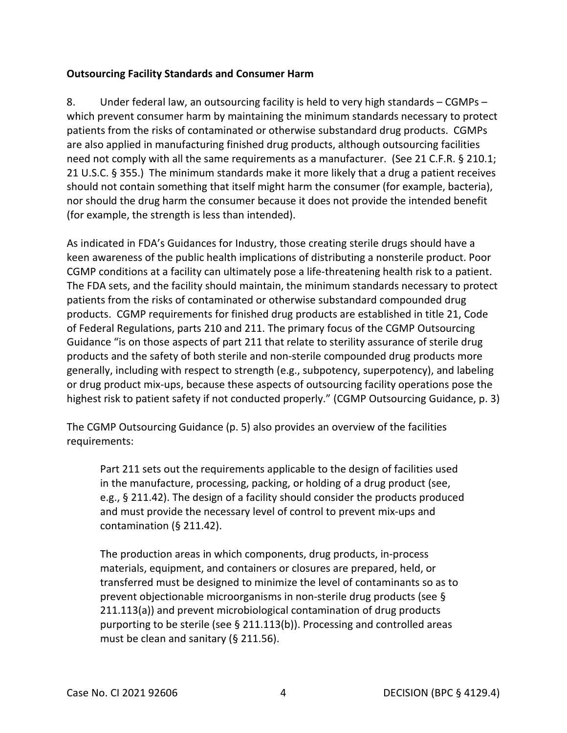### **Outsourcing Facility Standards and Consumer Harm**

 8. Under federal law, an outsourcing facility is held to very high standards – CGMPs – which prevent consumer harm by maintaining the minimum standards necessary to protect patients from the risks of contaminated or otherwise substandard drug products. CGMPs need not comply with all the same requirements as a manufacturer. (See 21 C.F.R. § 210.1; 21 U.S.C. § 355.) The minimum standards make it more likely that a drug a patient receives should not contain something that itself might harm the consumer (for example, bacteria), nor should the drug harm the consumer because it does not provide the intended benefit (for example, the strength is less than intended). are also applied in manufacturing finished drug products, although outsourcing facilities

 products. CGMP requirements for finished drug products are established in title 21, Code of Federal Regulations, parts 210 and 211. The primary focus of the CGMP Outsourcing Guidance "is on those aspects of part 211 that relate to sterility assurance of sterile drug products and the safety of both sterile and non-sterile compounded drug products more highest risk to patient safety if not conducted properly." (CGMP Outsourcing Guidance, p. 3) As indicated in FDA's Guidances for Industry, those creating sterile drugs should have a keen awareness of the public health implications of distributing a nonsterile product. Poor CGMP conditions at a facility can ultimately pose a life-threatening health risk to a patient. The FDA sets, and the facility should maintain, the minimum standards necessary to protect patients from the risks of contaminated or otherwise substandard compounded drug generally, including with respect to strength (e.g., subpotency, superpotency), and labeling or drug product mix-ups, because these aspects of outsourcing facility operations pose the

 The CGMP Outsourcing Guidance (p. 5) also provides an overview of the facilities requirements:

 in the manufacture, processing, packing, or holding of a drug product (see, Part 211 sets out the requirements applicable to the design of facilities used e.g., § 211.42). The design of a facility should consider the products produced and must provide the necessary level of control to prevent mix-ups and contamination (§ 211.42).

 materials, equipment, and containers or closures are prepared, held, or The production areas in which components, drug products, in-process transferred must be designed to minimize the level of contaminants so as to prevent objectionable microorganisms in non-sterile drug products (see § 211.113(a)) and prevent microbiological contamination of drug products purporting to be sterile (see § 211.113(b)). Processing and controlled areas must be clean and sanitary (§ 211.56).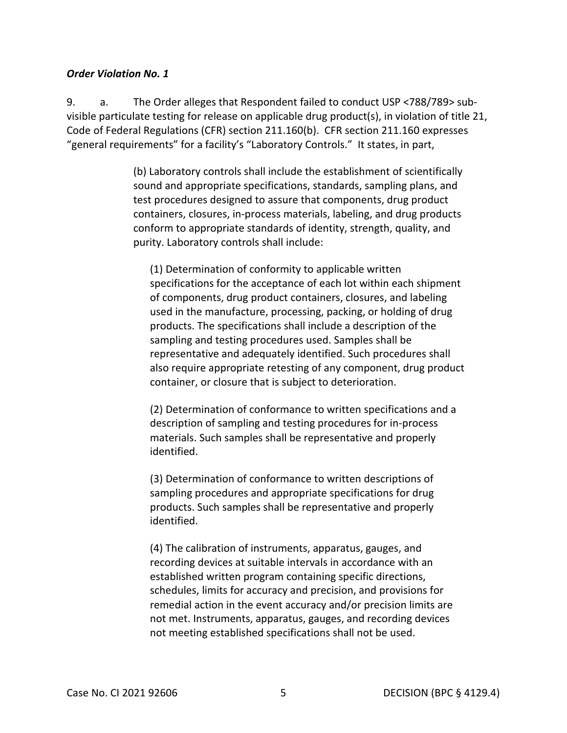#### *Order Violation No. 1*

9. Code of Federal Regulations (CFR) section 211.160(b). CFR section 211.160 expresses "general requirements" for a facility's "Laboratory Controls." It states, in part, a. The Order alleges that Respondent failed to conduct USP <788/789> subvisible particulate testing for release on applicable drug product(s), in violation of title 21,

> sound and appropriate specifications, standards, sampling plans, and containers, closures, in-process materials, labeling, and drug products (b) Laboratory controls shall include the establishment of scientifically test procedures designed to assure that components, drug product conform to appropriate standards of identity, strength, quality, and purity. Laboratory controls shall include:

 used in the manufacture, processing, packing, or holding of drug sampling and testing procedures used. Samples shall be (1) Determination of conformity to applicable written specifications for the acceptance of each lot within each shipment of components, drug product containers, closures, and labeling products. The specifications shall include a description of the representative and adequately identified. Such procedures shall also require appropriate retesting of any component, drug product container, or closure that is subject to deterioration.

(2) Determination of conformance to written specifications and a description of sampling and testing procedures for in-process materials. Such samples shall be representative and properly identified.

 sampling procedures and appropriate specifications for drug (3) Determination of conformance to written descriptions of products. Such samples shall be representative and properly identified.

(4) The calibration of instruments, apparatus, gauges, and recording devices at suitable intervals in accordance with an established written program containing specific directions, schedules, limits for accuracy and precision, and provisions for remedial action in the event accuracy and/or precision limits are not met. Instruments, apparatus, gauges, and recording devices not meeting established specifications shall not be used.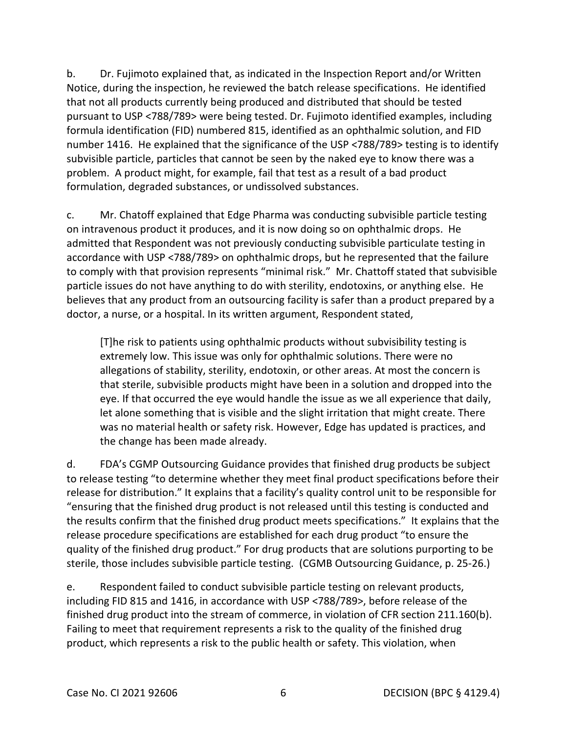number 1416. He explained that the significance of the USP <788/789> testing is to identify b. Dr. Fujimoto explained that, as indicated in the Inspection Report and/or Written Notice, during the inspection, he reviewed the batch release specifications. He identified that not all products currently being produced and distributed that should be tested pursuant to USP <788/789> were being tested. Dr. Fujimoto identified examples, including formula identification (FID) numbered 815, identified as an ophthalmic solution, and FID subvisible particle, particles that cannot be seen by the naked eye to know there was a problem. A product might, for example, fail that test as a result of a bad product formulation, degraded substances, or undissolved substances.

 c. Mr. Chatoff explained that Edge Pharma was conducting subvisible particle testing on intravenous product it produces, and it is now doing so on ophthalmic drops. He to comply with that provision represents "minimal risk." Mr. Chattoff stated that subvisible particle issues do not have anything to do with sterility, endotoxins, or anything else. He doctor, a nurse, or a hospital. In its written argument, Respondent stated, admitted that Respondent was not previously conducting subvisible particulate testing in accordance with USP <788/789> on ophthalmic drops, but he represented that the failure believes that any product from an outsourcing facility is safer than a product prepared by a

 [T]he risk to patients using ophthalmic products without subvisibility testing is extremely low. This issue was only for ophthalmic solutions. There were no allegations of stability, sterility, endotoxin, or other areas. At most the concern is that sterile, subvisible products might have been in a solution and dropped into the eye. If that occurred the eye would handle the issue as we all experience that daily, let alone something that is visible and the slight irritation that might create. There was no material health or safety risk. However, Edge has updated is practices, and the change has been made already.

 d. FDA's CGMP Outsourcing Guidance provides that finished drug products be subject sterile, those includes subvisible particle testing. (CGMB Outsourcing Guidance, p. 25-26.) to release testing "to determine whether they meet final product specifications before their release for distribution." It explains that a facility's quality control unit to be responsible for "ensuring that the finished drug product is not released until this testing is conducted and the results confirm that the finished drug product meets specifications." It explains that the release procedure specifications are established for each drug product "to ensure the quality of the finished drug product." For drug products that are solutions purporting to be

finished drug product into the stream of commerce, in violation of CFR section 211.160(b).<br>Failing to meet that requirement represents a risk to the quality of the finished drug e. Respondent failed to conduct subvisible particle testing on relevant products, including FID 815 and 1416, in accordance with USP <788/789>, before release of the product, which represents a risk to the public health or safety. This violation, when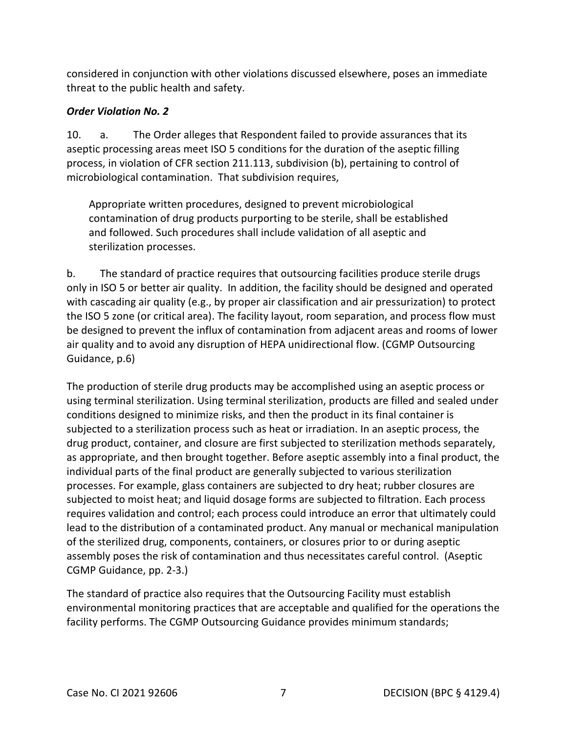considered in conjunction with other violations discussed elsewhere, poses an immediate threat to the public health and safety.

## *Order Violation No. 2*

 $10.$  microbiological contamination. That subdivision requires, a. The Order alleges that Respondent failed to provide assurances that its aseptic processing areas meet ISO 5 conditions for the duration of the aseptic filling process, in violation of CFR section 211.113, subdivision (b), pertaining to control of

Appropriate written procedures, designed to prevent microbiological contamination of drug products purporting to be sterile, shall be established and followed. Such procedures shall include validation of all aseptic and sterilization processes.

 air quality and to avoid any disruption of HEPA unidirectional flow. (CGMP Outsourcing b. The standard of practice requires that outsourcing facilities produce sterile drugs only in ISO 5 or better air quality. In addition, the facility should be designed and operated with cascading air quality (e.g., by proper air classification and air pressurization) to protect the ISO 5 zone (or critical area). The facility layout, room separation, and process flow must be designed to prevent the influx of contamination from adjacent areas and rooms of lower Guidance, p.6)

 The production of sterile drug products may be accomplished using an aseptic process or using terminal sterilization. Using terminal sterilization, products are filled and sealed under processes. For example, glass containers are subjected to dry heat; rubber closures are assembly poses the risk of contamination and thus necessitates careful control. (Aseptic conditions designed to minimize risks, and then the product in its final container is subjected to a sterilization process such as heat or irradiation. In an aseptic process, the drug product, container, and closure are first subjected to sterilization methods separately, as appropriate, and then brought together. Before aseptic assembly into a final product, the individual parts of the final product are generally subjected to various sterilization subjected to moist heat; and liquid dosage forms are subjected to filtration. Each process requires validation and control; each process could introduce an error that ultimately could lead to the distribution of a contaminated product. Any manual or mechanical manipulation of the sterilized drug, components, containers, or closures prior to or during aseptic CGMP Guidance, pp. 2-3.)

 The standard of practice also requires that the Outsourcing Facility must establish environmental monitoring practices that are acceptable and qualified for the operations the facility performs. The CGMP Outsourcing Guidance provides minimum standards;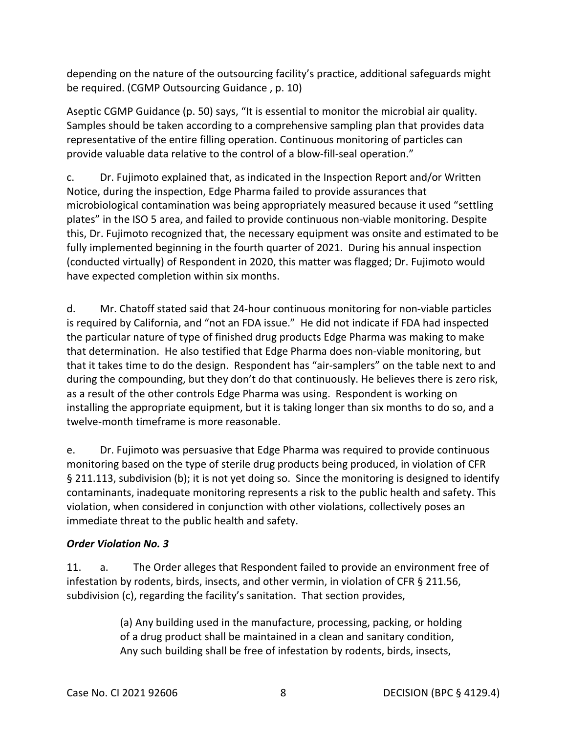be required. (CGMP Outsourcing Guidance , p. 10) depending on the nature of the outsourcing facility's practice, additional safeguards might

 Aseptic CGMP Guidance (p. 50) says, "It is essential to monitor the microbial air quality. Samples should be taken according to a comprehensive sampling plan that provides data representative of the entire filling operation. Continuous monitoring of particles can provide valuable data relative to the control of a blow-fill-seal operation."

 Notice, during the inspection, Edge Pharma failed to provide assurances that microbiological contamination was being appropriately measured because it used "settling fully implemented beginning in the fourth quarter of 2021. During his annual inspection c. Dr. Fujimoto explained that, as indicated in the Inspection Report and/or Written plates" in the ISO 5 area, and failed to provide continuous non-viable monitoring. Despite this, Dr. Fujimoto recognized that, the necessary equipment was onsite and estimated to be (conducted virtually) of Respondent in 2020, this matter was flagged; Dr. Fujimoto would have expected completion within six months.

 is required by California, and "not an FDA issue." He did not indicate if FDA had inspected that determination. He also testified that Edge Pharma does non-viable monitoring, but that it takes time to do the design. Respondent has "air-samplers" on the table next to and as a result of the other controls Edge Pharma was using. Respondent is working on d. Mr. Chatoff stated said that 24-hour continuous monitoring for non-viable particles the particular nature of type of finished drug products Edge Pharma was making to make during the compounding, but they don't do that continuously. He believes there is zero risk, installing the appropriate equipment, but it is taking longer than six months to do so, and a twelve-month timeframe is more reasonable.

e. Dr. Fujimoto was persuasive that Edge Pharma was required to provide continuous monitoring based on the type of sterile drug products being produced, in violation of CFR § 211.113, subdivision (b); it is not yet doing so. Since the monitoring is designed to identify contaminants, inadequate monitoring represents a risk to the public health and safety. This violation, when considered in conjunction with other violations, collectively poses an immediate threat to the public health and safety.

### *Order Violation No. 3*

 subdivision (c), regarding the facility's sanitation. That section provides, 11. a. The Order alleges that Respondent failed to provide an environment free of infestation by rodents, birds, insects, and other vermin, in violation of CFR § 211.56,

> (a) Any building used in the manufacture, processing, packing, or holding of a drug product shall be maintained in a clean and sanitary condition, Any such building shall be free of infestation by rodents, birds, insects,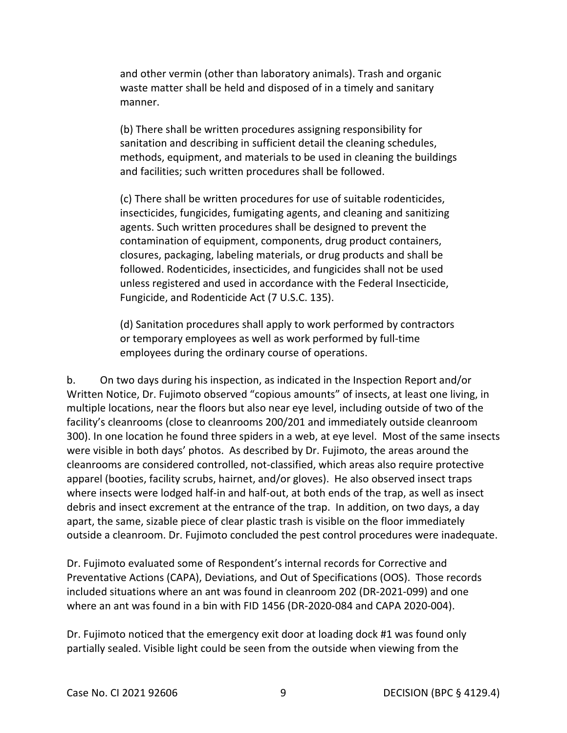and other vermin (other than laboratory animals). Trash and organic waste matter shall be held and disposed of in a timely and sanitary manner.

 sanitation and describing in sufficient detail the cleaning schedules, (b) There shall be written procedures assigning responsibility for methods, equipment, and materials to be used in cleaning the buildings and facilities; such written procedures shall be followed.

 (c) There shall be written procedures for use of suitable rodenticides, insecticides, fungicides, fumigating agents, and cleaning and sanitizing agents. Such written procedures shall be designed to prevent the followed. Rodenticides, insecticides, and fungicides shall not be used contamination of equipment, components, drug product containers, closures, packaging, labeling materials, or drug products and shall be unless registered and used in accordance with the Federal Insecticide, Fungicide, and Rodenticide Act (7 U.S.C. 135).

(d) Sanitation procedures shall apply to work performed by contractors or temporary employees as well as work performed by full-time employees during the ordinary course of operations.

 multiple locations, near the floors but also near eye level, including outside of two of the apparel (booties, facility scrubs, hairnet, and/or gloves). He also observed insect traps debris and insect excrement at the entrance of the trap. In addition, on two days, a day b. On two days during his inspection, as indicated in the Inspection Report and/or Written Notice, Dr. Fujimoto observed "copious amounts" of insects, at least one living, in facility's cleanrooms (close to cleanrooms 200/201 and immediately outside cleanroom 300). In one location he found three spiders in a web, at eye level. Most of the same insects were visible in both days' photos. As described by Dr. Fujimoto, the areas around the cleanrooms are considered controlled, not-classified, which areas also require protective where insects were lodged half-in and half-out, at both ends of the trap, as well as insect apart, the same, sizable piece of clear plastic trash is visible on the floor immediately

outside a cleanroom. Dr. Fujimoto concluded the pest control procedures were inadequate.<br>Dr. Fujimoto evaluated some of Respondent's internal records for Corrective and Preventative Actions (CAPA), Deviations, and Out of Specifications (OOS). Those records included situations where an ant was found in cleanroom 202 (DR-2021-099) and one where an ant was found in a bin with FID 1456 (DR-2020-084 and CAPA 2020-004).

Dr. Fujimoto noticed that the emergency exit door at loading dock #1 was found only partially sealed. Visible light could be seen from the outside when viewing from the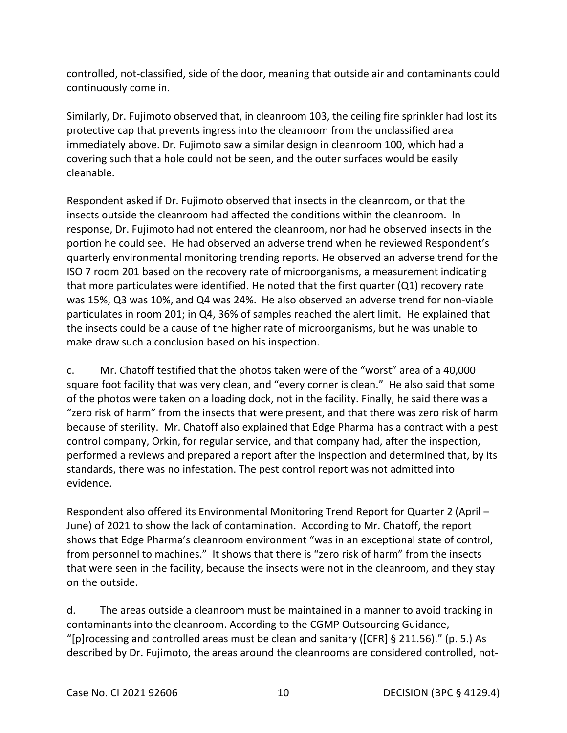controlled, not-classified, side of the door, meaning that outside air and contaminants could continuously come in.

 immediately above. Dr. Fujimoto saw a similar design in cleanroom 100, which had a covering such that a hole could not be seen, and the outer surfaces would be easily cleanable. Similarly, Dr. Fujimoto observed that, in cleanroom 103, the ceiling fire sprinkler had lost its protective cap that prevents ingress into the cleanroom from the unclassified area

cleanable.<br>Respondent asked if Dr. Fujimoto observed that insects in the cleanroom, or that the quarterly environmental monitoring trending reports. He observed an adverse trend for the ISO 7 room 201 based on the recovery rate of microorganisms, a measurement indicating was 15%, Q3 was 10%, and Q4 was 24%. He also observed an adverse trend for non-viable particulates in room 201; in Q4, 36% of samples reached the alert limit. He explained that insects outside the cleanroom had affected the conditions within the cleanroom. In response, Dr. Fujimoto had not entered the cleanroom, nor had he observed insects in the portion he could see. He had observed an adverse trend when he reviewed Respondent's that more particulates were identified. He noted that the first quarter  $(Q1)$  recovery rate the insects could be a cause of the higher rate of microorganisms, but he was unable to make draw such a conclusion based on his inspection.

 square foot facility that was very clean, and "every corner is clean." He also said that some of the photos were taken on a loading dock, not in the facility. Finally, he said there was a "zero risk of harm" from the insects that were present, and that there was zero risk of harm because of sterility. Mr. Chatoff also explained that Edge Pharma has a contract with a pest control company, Orkin, for regular service, and that company had, after the inspection, evidence. c. Mr. Chatoff testified that the photos taken were of the "worst" area of a 40,000 performed a reviews and prepared a report after the inspection and determined that, by its standards, there was no infestation. The pest control report was not admitted into

 June) of 2021 to show the lack of contamination. According to Mr. Chatoff, the report from personnel to machines." It shows that there is "zero risk of harm" from the insects that were seen in the facility, because the insects were not in the cleanroom, and they stay Respondent also offered its Environmental Monitoring Trend Report for Quarter 2 (April – shows that Edge Pharma's cleanroom environment "was in an exceptional state of control, on the outside.

d. The areas outside a cleanroom must be maintained in a manner to avoid tracking in contaminants into the cleanroom. According to the CGMP Outsourcing Guidance, "[p]rocessing and controlled areas must be clean and sanitary ([CFR] § 211.56)." (p. 5.) As described by Dr. Fujimoto, the areas around the cleanrooms are considered controlled, not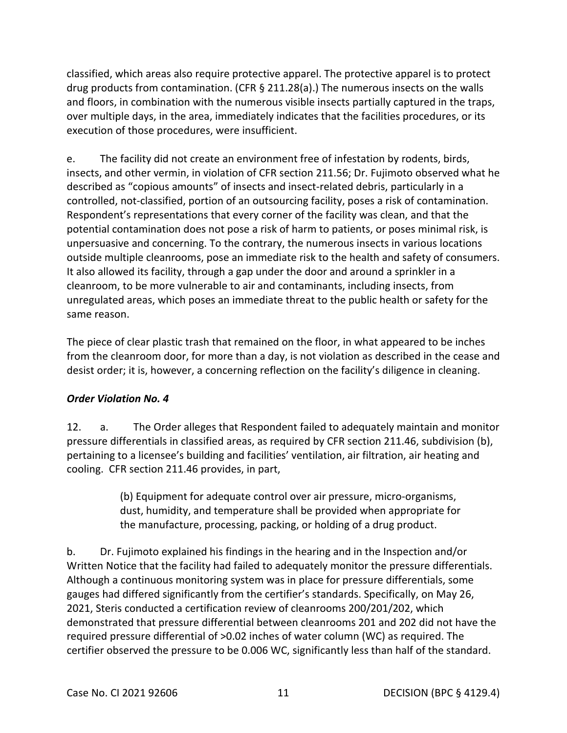classified, which areas also require protective apparel. The protective apparel is to protect drug products from contamination. (CFR § 211.28(a).) The numerous insects on the walls and floors, in combination with the numerous visible insects partially captured in the traps, over multiple days, in the area, immediately indicates that the facilities procedures, or its execution of those procedures, were insufficient.

 insects, and other vermin, in violation of CFR section 211.56; Dr. Fujimoto observed what he described as "copious amounts" of insects and insect-related debris, particularly in a controlled, not-classified, portion of an outsourcing facility, poses a risk of contamination.<br>Respondent's representations that every corner of the facility was clean, and that the It also allowed its facility, through a gap under the door and around a sprinkler in a unregulated areas, which poses an immediate threat to the public health or safety for the same reason. e. The facility did not create an environment free of infestation by rodents, birds, potential contamination does not pose a risk of harm to patients, or poses minimal risk, is unpersuasive and concerning. To the contrary, the numerous insects in various locations outside multiple cleanrooms, pose an immediate risk to the health and safety of consumers. cleanroom, to be more vulnerable to air and contaminants, including insects, from

 desist order; it is, however, a concerning reflection on the facility's diligence in cleaning. The piece of clear plastic trash that remained on the floor, in what appeared to be inches from the cleanroom door, for more than a day, is not violation as described in the cease and

## *Order Violation No. 4*

 pressure differentials in classified areas, as required by CFR section 211.46, subdivision (b), cooling. CFR section 211.46 provides, in part, 12. a. The Order alleges that Respondent failed to adequately maintain and monitor pertaining to a licensee's building and facilities' ventilation, air filtration, air heating and

> the manufacture, processing, packing, or holding of a drug product. (b) Equipment for adequate control over air pressure, micro-organisms, dust, humidity, and temperature shall be provided when appropriate for

 b. Dr. Fujimoto explained his findings in the hearing and in the Inspection and/or Written Notice that the facility had failed to adequately monitor the pressure differentials. Although a continuous monitoring system was in place for pressure differentials, some 2021, Steris conducted a certification review of cleanrooms 200/201/202, which required pressure differential of >0.02 inches of water column (WC) as required. The certifier observed the pressure to be 0.006 WC, significantly less than half of the standard. gauges had differed significantly from the certifier's standards. Specifically, on May 26, demonstrated that pressure differential between cleanrooms 201 and 202 did not have the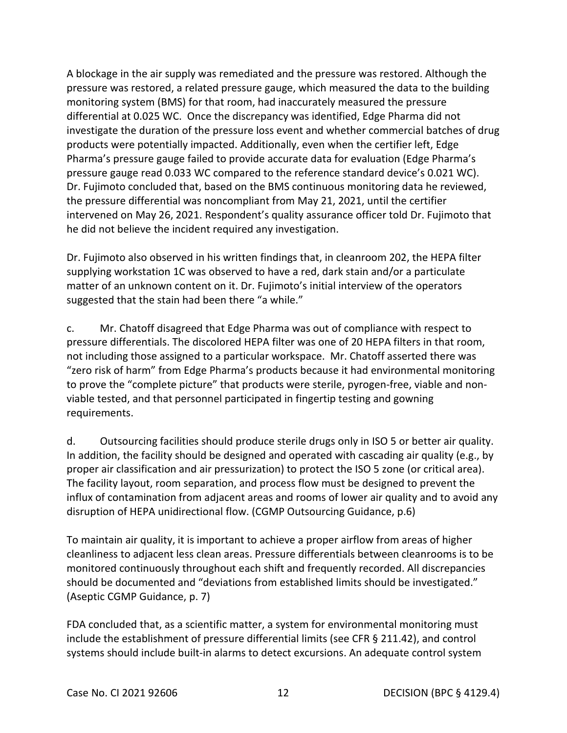differential at 0.025 WC. Once the discrepancy was identified, Edge Pharma did not investigate the duration of the pressure loss event and whether commercial batches of drug A blockage in the air supply was remediated and the pressure was restored. Although the pressure was restored, a related pressure gauge, which measured the data to the building monitoring system (BMS) for that room, had inaccurately measured the pressure products were potentially impacted. Additionally, even when the certifier left, Edge Pharma's pressure gauge failed to provide accurate data for evaluation (Edge Pharma's pressure gauge read 0.033 WC compared to the reference standard device's 0.021 WC). Dr. Fujimoto concluded that, based on the BMS continuous monitoring data he reviewed, the pressure differential was noncompliant from May 21, 2021, until the certifier intervened on May 26, 2021. Respondent's quality assurance officer told Dr. Fujimoto that he did not believe the incident required any investigation.

 supplying workstation 1C was observed to have a red, dark stain and/or a particulate suggested that the stain had been there "a while." Dr. Fujimoto also observed in his written findings that, in cleanroom 202, the HEPA filter matter of an unknown content on it. Dr. Fujimoto's initial interview of the operators

 pressure differentials. The discolored HEPA filter was one of 20 HEPA filters in that room, not including those assigned to a particular workspace. Mr. Chatoff asserted there was to prove the "complete picture" that products were sterile, pyrogen-free, viable and nonc. Mr. Chatoff disagreed that Edge Pharma was out of compliance with respect to "zero risk of harm" from Edge Pharma's products because it had environmental monitoring viable tested, and that personnel participated in fingertip testing and gowning requirements.

Outsourcing facilities should produce sterile drugs only in ISO 5 or better air quality. proper air classification and air pressurization) to protect the ISO 5 zone (or critical area). d. Outsourcing facilities should produce sterile drugs only in ISO 5 or better air quality. In addition, the facility should be designed and operated with cascading air quality (e.g., by The facility layout, room separation, and process flow must be designed to prevent the influx of contamination from adjacent areas and rooms of lower air quality and to avoid any disruption of HEPA unidirectional flow. (CGMP Outsourcing Guidance, p.6)

 To maintain air quality, it is important to achieve a proper airflow from areas of higher should be documented and "deviations from established limits should be investigated."<br>(Aseptic CGMP Guidance, p. 7) cleanliness to adjacent less clean areas. Pressure differentials between cleanrooms is to be monitored continuously throughout each shift and frequently recorded. All discrepancies

FDA concluded that, as a scientific matter, a system for environmental monitoring must include the establishment of pressure differential limits (see CFR § 211.42), and control systems should include built-in alarms to detect excursions. An adequate control system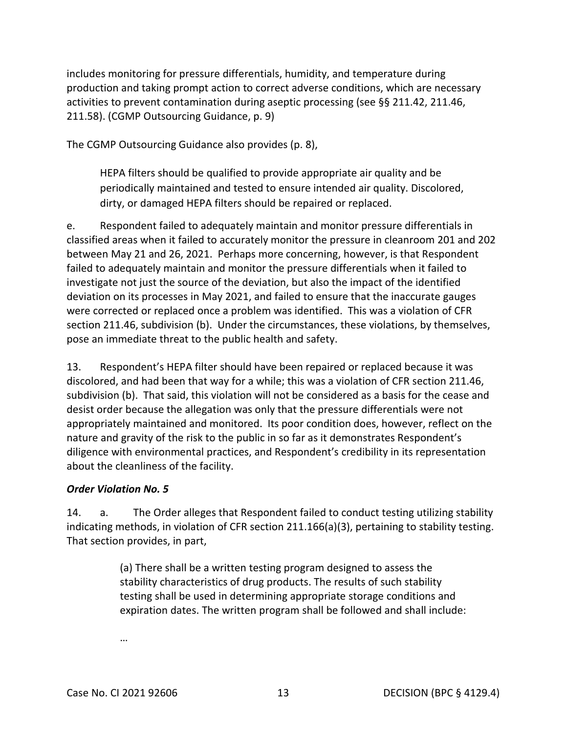activities to prevent contamination during aseptic processing (see §§ 211.42, 211.46, includes monitoring for pressure differentials, humidity, and temperature during production and taking prompt action to correct adverse conditions, which are necessary 211.58). (CGMP Outsourcing Guidance, p. 9)

The CGMP Outsourcing Guidance also provides (p. 8),

 HEPA filters should be qualified to provide appropriate air quality and be periodically maintained and tested to ensure intended air quality. Discolored, dirty, or damaged HEPA filters should be repaired or replaced.

 classified areas when it failed to accurately monitor the pressure in cleanroom 201 and 202 between May 21 and 26, 2021. Perhaps more concerning, however, is that Respondent section 211.46, subdivision (b). Under the circumstances, these violations, by themselves, e. Respondent failed to adequately maintain and monitor pressure differentials in failed to adequately maintain and monitor the pressure differentials when it failed to investigate not just the source of the deviation, but also the impact of the identified deviation on its processes in May 2021, and failed to ensure that the inaccurate gauges were corrected or replaced once a problem was identified. This was a violation of CFR pose an immediate threat to the public health and safety.

 subdivision (b). That said, this violation will not be considered as a basis for the cease and desist order because the allegation was only that the pressure differentials were not about the cleanliness of the facility. 13. Respondent's HEPA filter should have been repaired or replaced because it was discolored, and had been that way for a while; this was a violation of CFR section 211.46, appropriately maintained and monitored. Its poor condition does, however, reflect on the nature and gravity of the risk to the public in so far as it demonstrates Respondent's diligence with environmental practices, and Respondent's credibility in its representation

### *Order Violation No. 5*

indicating methods, in violation of CFR section 211.166(a)(3), pertaining to stability testing.<br>That section provides, in part, 14. a. The Order alleges that Respondent failed to conduct testing utilizing stability

> (a) There shall be a written testing program designed to assess the stability characteristics of drug products. The results of such stability testing shall be used in determining appropriate storage conditions and expiration dates. The written program shall be followed and shall include:

…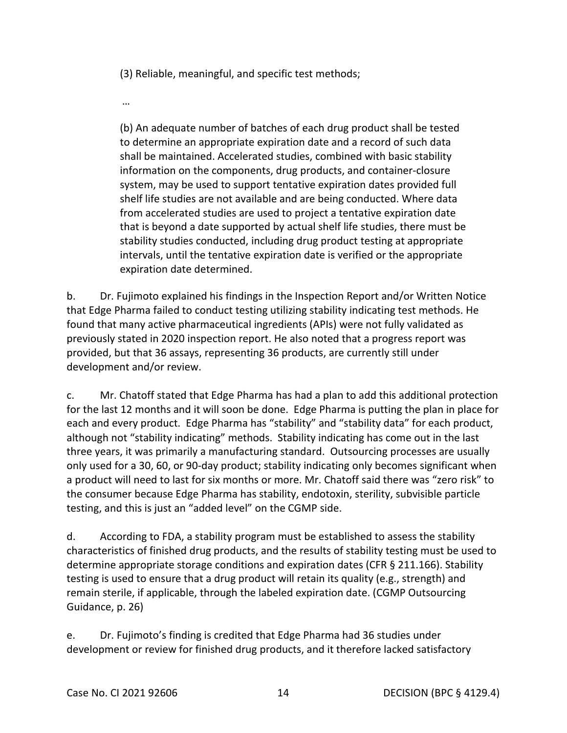(3) Reliable, meaningful, and specific test methods;

…

 to determine an appropriate expiration date and a record of such data (b) An adequate number of batches of each drug product shall be tested shall be maintained. Accelerated studies, combined with basic stability information on the components, drug products, and container-closure system, may be used to support tentative expiration dates provided full shelf life studies are not available and are being conducted. Where data from accelerated studies are used to project a tentative expiration date that is beyond a date supported by actual shelf life studies, there must be stability studies conducted, including drug product testing at appropriate intervals, until the tentative expiration date is verified or the appropriate expiration date determined.

b. Dr. Fujimoto explained his findings in the Inspection Report and/or Written Notice that Edge Pharma failed to conduct testing utilizing stability indicating test methods. He found that many active pharmaceutical ingredients (APIs) were not fully validated as previously stated in 2020 inspection report. He also noted that a progress report was provided, but that 36 assays, representing 36 products, are currently still under development and/or review.

 for the last 12 months and it will soon be done. Edge Pharma is putting the plan in place for each and every product. Edge Pharma has "stability" and "stability data" for each product, although not "stability indicating" methods. Stability indicating has come out in the last only used for a 30, 60, or 90-day product; stability indicating only becomes significant when a product will need to last for six months or more. Mr. Chatoff said there was "zero risk" to testing, and this is just an "added level" on the CGMP side. c. Mr. Chatoff stated that Edge Pharma has had a plan to add this additional protection three years, it was primarily a manufacturing standard. Outsourcing processes are usually the consumer because Edge Pharma has stability, endotoxin, sterility, subvisible particle

 d. According to FDA, a stability program must be established to assess the stability testing is used to ensure that a drug product will retain its quality (e.g., strength) and remain sterile, if applicable, through the labeled expiration date. (CGMP Outsourcing Guidance, p. 26) characteristics of finished drug products, and the results of stability testing must be used to determine appropriate storage conditions and expiration dates (CFR § 211.166). Stability

 development or review for finished drug products, and it therefore lacked satisfactory e. Dr. Fujimoto's finding is credited that Edge Pharma had 36 studies under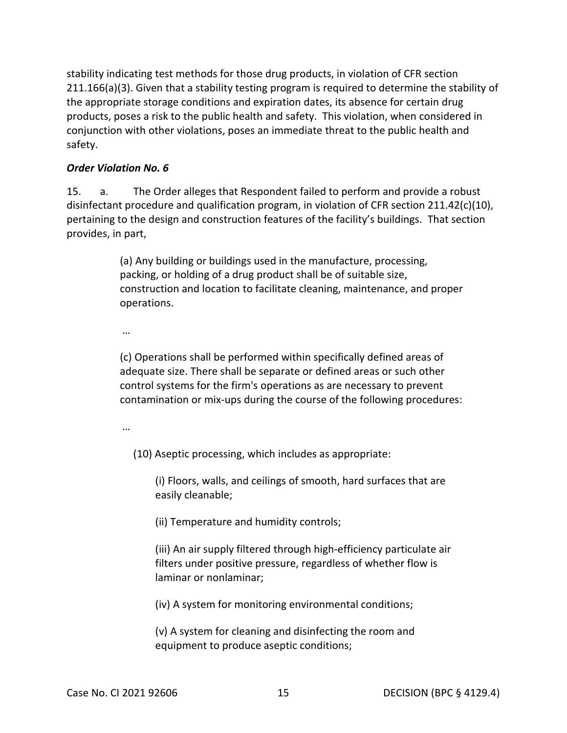stability indicating test methods for those drug products, in violation of CFR section 211.166(a)(3). Given that a stability testing program is required to determine the stability of the appropriate storage conditions and expiration dates, its absence for certain drug products, poses a risk to the public health and safety. This violation, when considered in conjunction with other violations, poses an immediate threat to the public health and safety.

#### *Order Violation No. 6*

15. a. The Order alleges that Respondent failed to perform and provide a robust disinfectant procedure and qualification program, in violation of CFR section 211.42(c)(10), pertaining to the design and construction features of the facility's buildings. That section provides, in part,

> packing, or holding of a drug product shall be of suitable size, construction and location to facilitate cleaning, maintenance, and proper (a) Any building or buildings used in the manufacture, processing, operations.

…

(c) Operations shall be performed within specifically defined areas of adequate size. There shall be separate or defined areas or such other control systems for the firm's operations as are necessary to prevent contamination or mix-ups during the course of the following procedures:

…

(10) Aseptic processing, which includes as appropriate:

(i) Floors, walls, and ceilings of smooth, hard surfaces that are easily cleanable;

(ii) Temperature and humidity controls;

(iii) An air supply filtered through high-efficiency particulate air filters under positive pressure, regardless of whether flow is laminar or nonlaminar;

(iv) A system for monitoring environmental conditions;

(v) A system for cleaning and disinfecting the room and equipment to produce aseptic conditions;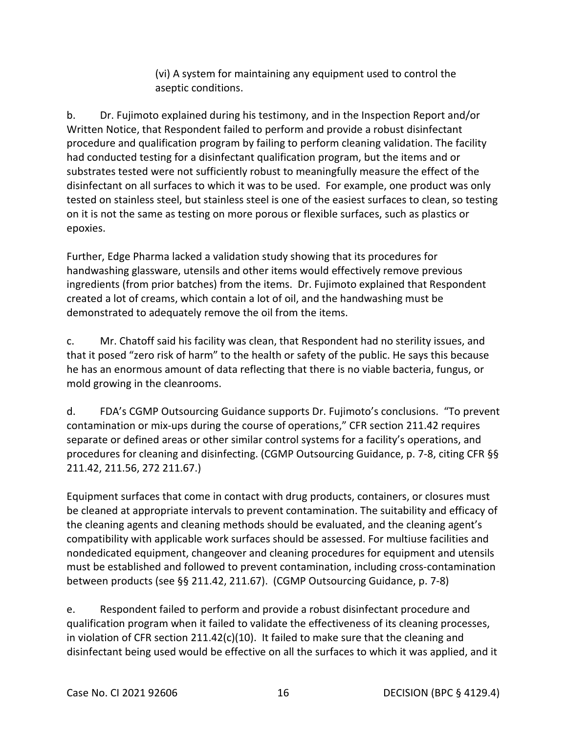(vi) A system for maintaining any equipment used to control the aseptic conditions.

 tested on stainless steel, but stainless steel is one of the easiest surfaces to clean, so testing on it is not the same as testing on more porous or flexible surfaces, such as plastics or b. Dr. Fujimoto explained during his testimony, and in the Inspection Report and/or Written Notice, that Respondent failed to perform and provide a robust disinfectant procedure and qualification program by failing to perform cleaning validation. The facility had conducted testing for a disinfectant qualification program, but the items and or substrates tested were not sufficiently robust to meaningfully measure the effect of the disinfectant on all surfaces to which it was to be used. For example, one product was only epoxies.

 handwashing glassware, utensils and other items would effectively remove previous ingredients (from prior batches) from the items. Dr. Fujimoto explained that Respondent Further, Edge Pharma lacked a validation study showing that its procedures for created a lot of creams, which contain a lot of oil, and the handwashing must be demonstrated to adequately remove the oil from the items.

 he has an enormous amount of data reflecting that there is no viable bacteria, fungus, or c. Mr. Chatoff said his facility was clean, that Respondent had no sterility issues, and that it posed "zero risk of harm" to the health or safety of the public. He says this because mold growing in the cleanrooms.

d. FDA's CGMP Outsourcing Guidance supports Dr. Fujimoto's conclusions. "To prevent contamination or mix-ups during the course of operations," CFR section 211.42 requires separate or defined areas or other similar control systems for a facility's operations, and procedures for cleaning and disinfecting. (CGMP Outsourcing Guidance, p. 7-8, citing CFR §§ 211.42, 211.56, 272 211.67.)

 between products (see §§ 211.42, 211.67). (CGMP Outsourcing Guidance, p. 7-8) Equipment surfaces that come in contact with drug products, containers, or closures must be cleaned at appropriate intervals to prevent contamination. The suitability and efficacy of the cleaning agents and cleaning methods should be evaluated, and the cleaning agent's compatibility with applicable work surfaces should be assessed. For multiuse facilities and nondedicated equipment, changeover and cleaning procedures for equipment and utensils must be established and followed to prevent contamination, including cross-contamination

 disinfectant being used would be effective on all the surfaces to which it was applied, and it e. Respondent failed to perform and provide a robust disinfectant procedure and qualification program when it failed to validate the effectiveness of its cleaning processes, in violation of CFR section 211.42(c)(10). It failed to make sure that the cleaning and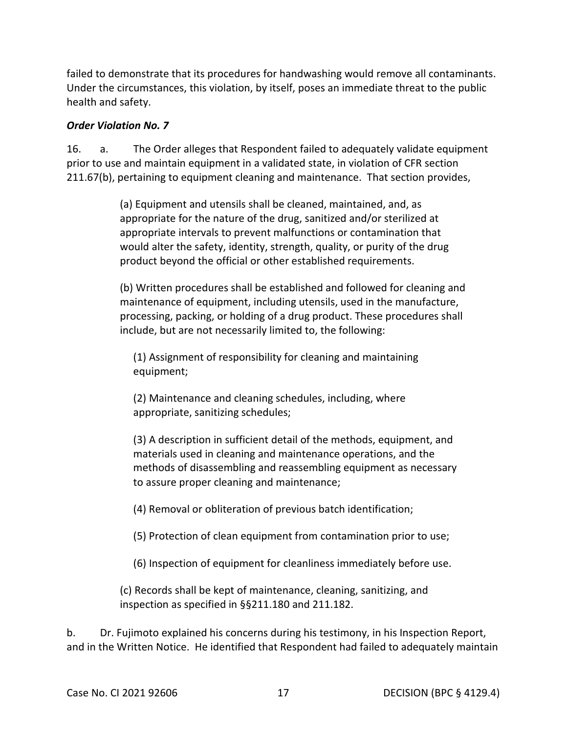Under the circumstances, this violation, by itself, poses an immediate threat to the public failed to demonstrate that its procedures for handwashing would remove all contaminants. health and safety.

#### *Order Violation No. 7*

16. 211.67(b), pertaining to equipment cleaning and maintenance. That section provides, a. The Order alleges that Respondent failed to adequately validate equipment prior to use and maintain equipment in a validated state, in violation of CFR section

> (a) Equipment and utensils shall be cleaned, maintained, and, as appropriate for the nature of the drug, sanitized and/or sterilized at appropriate intervals to prevent malfunctions or contamination that would alter the safety, identity, strength, quality, or purity of the drug product beyond the official or other established requirements.

 processing, packing, or holding of a drug product. These procedures shall (b) Written procedures shall be established and followed for cleaning and maintenance of equipment, including utensils, used in the manufacture, include, but are not necessarily limited to, the following:

(1) Assignment of responsibility for cleaning and maintaining equipment;

 (2) Maintenance and cleaning schedules, including, where appropriate, sanitizing schedules;

(3) A description in sufficient detail of the methods, equipment, and materials used in cleaning and maintenance operations, and the methods of disassembling and reassembling equipment as necessary to assure proper cleaning and maintenance;

(4) Removal or obliteration of previous batch identification;

(5) Protection of clean equipment from contamination prior to use;

(6) Inspection of equipment for cleanliness immediately before use.

(c) Records shall be kept of maintenance, cleaning, sanitizing, and inspection as specified in §§211.180 and 211.182.

b. Dr. Fujimoto explained his concerns during his testimony, in his Inspection Report, and in the Written Notice. He identified that Respondent had failed to adequately maintain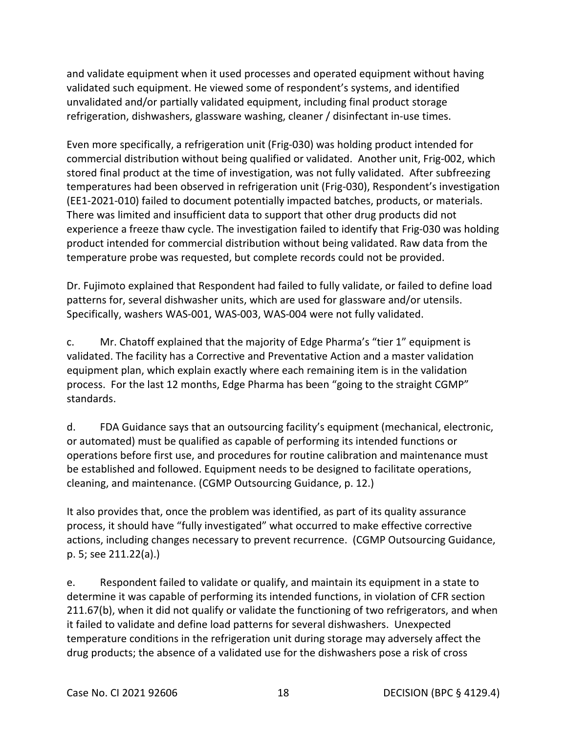and validate equipment when it used processes and operated equipment without having validated such equipment. He viewed some of respondent's systems, and identified unvalidated and/or partially validated equipment, including final product storage refrigeration, dishwashers, glassware washing, cleaner / disinfectant in-use times.

 commercial distribution without being qualified or validated. Another unit, Frig-002, which stored final product at the time of investigation, was not fully validated. After subfreezing There was limited and insufficient data to support that other drug products did not Even more specifically, a refrigeration unit (Frig-030) was holding product intended for temperatures had been observed in refrigeration unit (Frig-030), Respondent's investigation (EE1-2021-010) failed to document potentially impacted batches, products, or materials. experience a freeze thaw cycle. The investigation failed to identify that Frig-030 was holding product intended for commercial distribution without being validated. Raw data from the temperature probe was requested, but complete records could not be provided.

Dr. Fujimoto explained that Respondent had failed to fully validate, or failed to define load patterns for, several dishwasher units, which are used for glassware and/or utensils. Specifically, washers WAS-001, WAS-003, WAS-004 were not fully validated.

 process. For the last 12 months, Edge Pharma has been "going to the straight CGMP" standards. c. Mr. Chatoff explained that the majority of Edge Pharma's "tier 1" equipment is validated. The facility has a Corrective and Preventative Action and a master validation equipment plan, which explain exactly where each remaining item is in the validation

standards.<br>d. a. FDA Guidance says that an outsourcing facility's equipment (mechanical, electronic, be established and followed. Equipment needs to be designed to facilitate operations, or automated) must be qualified as capable of performing its intended functions or operations before first use, and procedures for routine calibration and maintenance must cleaning, and maintenance. (CGMP Outsourcing Guidance, p. 12.)

p. 5; see  $211.22(a)$ .) It also provides that, once the problem was identified, as part of its quality assurance process, it should have "fully investigated" what occurred to make effective corrective actions, including changes necessary to prevent recurrence. (CGMP Outsourcing Guidance,

 it failed to validate and define load patterns for several dishwashers. Unexpected e. See 21.22 See 21.22.22 (a). See 21.22.22 See 21.22.22.22 See 21.22.22.22 See 21.22.22.22.22.22.22 determine it was capable of performing its intended functions, in violation of CFR section 211.67(b), when it did not qualify or validate the functioning of two refrigerators, and when temperature conditions in the refrigeration unit during storage may adversely affect the drug products; the absence of a validated use for the dishwashers pose a risk of cross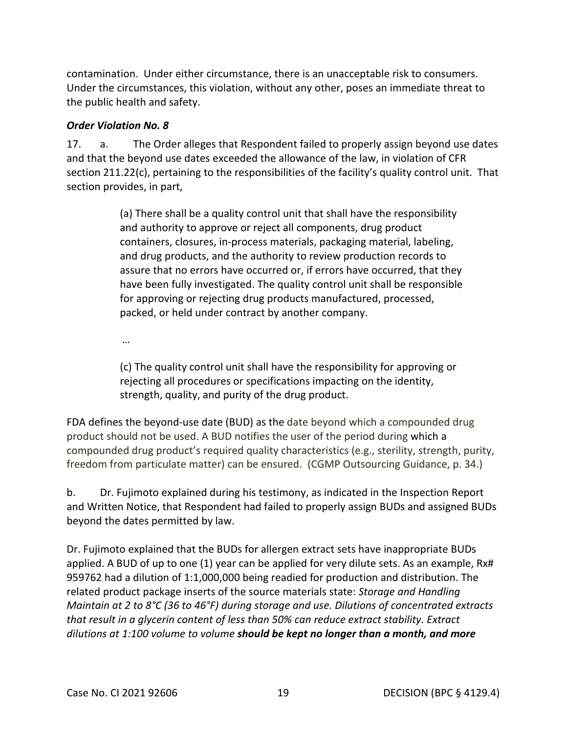contamination. Under either circumstance, there is an unacceptable risk to consumers. Under the circumstances, this violation, without any other, poses an immediate threat to the public health and safety.

#### *Order Violation No. 8*

 $17<sub>1</sub>$  section 211.22(c), pertaining to the responsibilities of the facility's quality control unit. That section provides, in part, a. The Order alleges that Respondent failed to properly assign beyond use dates and that the beyond use dates exceeded the allowance of the law, in violation of CFR

> containers, closures, in-process materials, packaging material, labeling, assure that no errors have occurred or, if errors have occurred, that they (a) There shall be a quality control unit that shall have the responsibility and authority to approve or reject all components, drug product and drug products, and the authority to review production records to have been fully investigated. The quality control unit shall be responsible for approving or rejecting drug products manufactured, processed, packed, or held under contract by another company.

…

(c) The quality control unit shall have the responsibility for approving or rejecting all procedures or specifications impacting on the identity, strength, quality, and purity of the drug product.

 FDA defines the beyond-use date (BUD) as the date beyond which a compounded drug product should not be used. A BUD notifies the user of the period during which a compounded drug product's required quality characteristics (e.g., sterility, strength, purity, freedom from particulate matter) can be ensured. (CGMP Outsourcing Guidance, p. 34.)

 and Written Notice, that Respondent had failed to properly assign BUDs and assigned BUDs b. Dr. Fujimoto explained during his testimony, as indicated in the Inspection Report beyond the dates permitted by law.

 Dr. Fujimoto explained that the BUDs for allergen extract sets have inappropriate BUDs applied. A BUD of up to one (1) year can be applied for very dilute sets. As an example, Rx# 959762 had a dilution of 1:1,000,000 being readied for production and distribution. The related product package inserts of the source materials state: *Storage and Handling Maintain at 2 to 8°C (36 to 46°F) during storage and use. Dilutions of concentrated extracts that result in a glycerin content of less than 50% can reduce extract stability. Extract dilutions at 1:100 volume to volume should be kept no longer than a month, and more*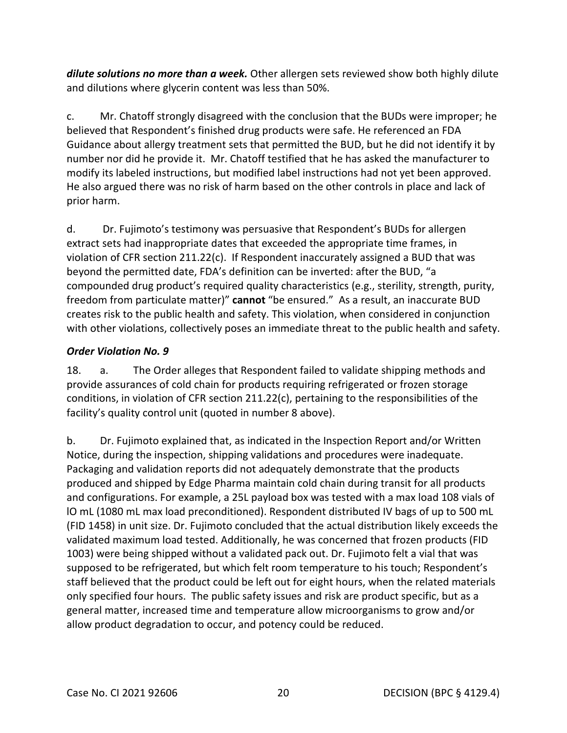*dilute solutions no more than a week.* Other allergen sets reviewed show both highly dilute and dilutions where glycerin content was less than 50%.

 Guidance about allergy treatment sets that permitted the BUD, but he did not identify it by number nor did he provide it. Mr. Chatoff testified that he has asked the manufacturer to He also argued there was no risk of harm based on the other controls in place and lack of c. Mr. Chatoff strongly disagreed with the conclusion that the BUDs were improper; he believed that Respondent's finished drug products were safe. He referenced an FDA modify its labeled instructions, but modified label instructions had not yet been approved. prior harm.

 violation of CFR section 211.22(c). If Respondent inaccurately assigned a BUD that was creates risk to the public health and safety. This violation, when considered in conjunction d. Dr. Fujimoto's testimony was persuasive that Respondent's BUDs for allergen extract sets had inappropriate dates that exceeded the appropriate time frames, in beyond the permitted date, FDA's definition can be inverted: after the BUD, "a compounded drug product's required quality characteristics (e.g., sterility, strength, purity, freedom from particulate matter)" **cannot** "be ensured." As a result, an inaccurate BUD with other violations, collectively poses an immediate threat to the public health and safety.

## *Order Violation No. 9*

18. a. The Order alleges that Respondent failed to validate shipping methods and provide assurances of cold chain for products requiring refrigerated or frozen storage conditions, in violation of CFR section 211.22(c), pertaining to the responsibilities of the facility's quality control unit (quoted in number 8 above).

 lO mL (1080 mL max load preconditioned). Respondent distributed IV bags of up to 500 mL staff believed that the product could be left out for eight hours, when the related materials only specified four hours. The public safety issues and risk are product specific, but as a general matter, increased time and temperature allow microorganisms to grow and/or allow product degradation to occur, and potency could be reduced. b. Dr. Fujimoto explained that, as indicated in the Inspection Report and/or Written Notice, during the inspection, shipping validations and procedures were inadequate. Packaging and validation reports did not adequately demonstrate that the products produced and shipped by Edge Pharma maintain cold chain during transit for all products and configurations. For example, a 25L payload box was tested with a max load 108 vials of (FID 1458) in unit size. Dr. Fujimoto concluded that the actual distribution likely exceeds the validated maximum load tested. Additionally, he was concerned that frozen products (FID 1003) were being shipped without a validated pack out. Dr. Fujimoto felt a vial that was supposed to be refrigerated, but which felt room temperature to his touch; Respondent's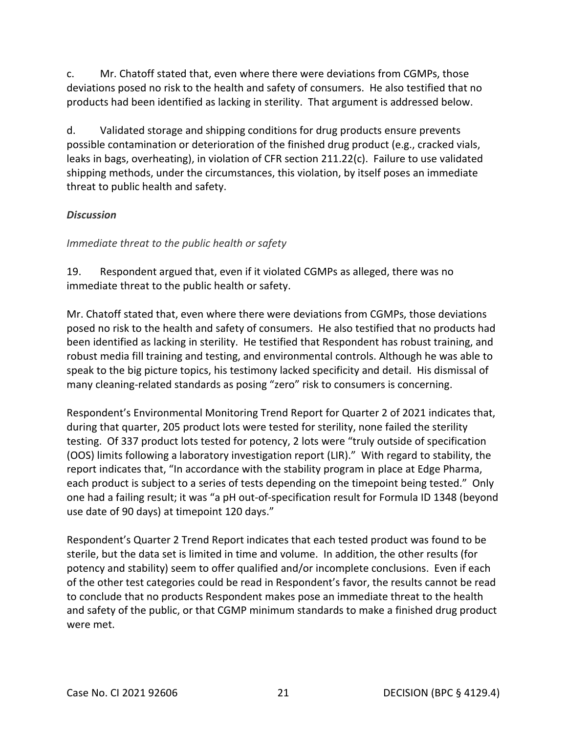deviations posed no risk to the health and safety of consumers. He also testified that no c. Mr. Chatoff stated that, even where there were deviations from CGMPs, those products had been identified as lacking in sterility. That argument is addressed below.

 threat to public health and safety. d. Validated storage and shipping conditions for drug products ensure prevents possible contamination or deterioration of the finished drug product (e.g., cracked vials, leaks in bags, overheating), in violation of CFR section 211.22(c). Failure to use validated shipping methods, under the circumstances, this violation, by itself poses an immediate

### *Discussion*

*Immediate threat to the public health or safety* 

 immediate threat to the public health or safety. 19. Respondent argued that, even if it violated CGMPs as alleged, there was no

 been identified as lacking in sterility. He testified that Respondent has robust training, and speak to the big picture topics, his testimony lacked specificity and detail. His dismissal of Mr. Chatoff stated that, even where there were deviations from CGMPs, those deviations posed no risk to the health and safety of consumers. He also testified that no products had robust media fill training and testing, and environmental controls. Although he was able to many cleaning-related standards as posing "zero" risk to consumers is concerning.

 testing. Of 337 product lots tested for potency, 2 lots were "truly outside of specification (OOS) limits following a laboratory investigation report (LIR)." With regard to stability, the one had a failing result; it was "a pH out-of-specification result for Formula ID 1348 (beyond use date of 90 days) at timepoint 120 days." Respondent's Environmental Monitoring Trend Report for Quarter 2 of 2021 indicates that, during that quarter, 205 product lots were tested for sterility, none failed the sterility report indicates that, "In accordance with the stability program in place at Edge Pharma, each product is subject to a series of tests depending on the timepoint being tested." Only

 Respondent's Quarter 2 Trend Report indicates that each tested product was found to be and safety of the public, or that CGMP minimum standards to make a finished drug product were met. sterile, but the data set is limited in time and volume. In addition, the other results (for potency and stability) seem to offer qualified and/or incomplete conclusions. Even if each of the other test categories could be read in Respondent's favor, the results cannot be read to conclude that no products Respondent makes pose an immediate threat to the health were met.<br>Case No. CI 2021 92606 21 DECISION (BPC § 4129.4)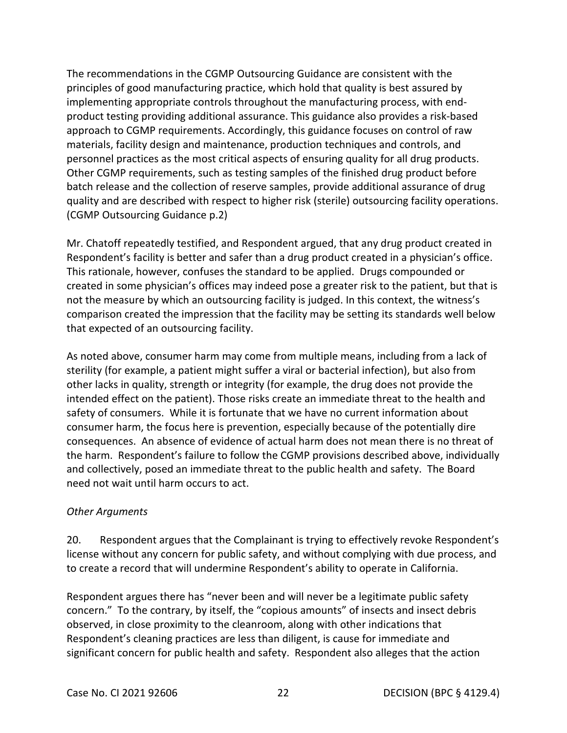principles of good manufacturing practice, which hold that quality is best assured by personnel practices as the most critical aspects of ensuring quality for all drug products. Other CGMP requirements, such as testing samples of the finished drug product before The recommendations in the CGMP Outsourcing Guidance are consistent with the implementing appropriate controls throughout the manufacturing process, with endproduct testing providing additional assurance. This guidance also provides a risk-based approach to CGMP requirements. Accordingly, this guidance focuses on control of raw materials, facility design and maintenance, production techniques and controls, and batch release and the collection of reserve samples, provide additional assurance of drug quality and are described with respect to higher risk (sterile) outsourcing facility operations. (CGMP Outsourcing Guidance p.2)

 Mr. Chatoff repeatedly testified, and Respondent argued, that any drug product created in Respondent's facility is better and safer than a drug product created in a physician's office.<br>This rationale, however, confuses the standard to be applied. Drugs compounded or that expected of an outsourcing facility. created in some physician's offices may indeed pose a greater risk to the patient, but that is not the measure by which an outsourcing facility is judged. In this context, the witness's comparison created the impression that the facility may be setting its standards well below

 safety of consumers. While it is fortunate that we have no current information about the harm. Respondent's failure to follow the CGMP provisions described above, individually and collectively, posed an immediate threat to the public health and safety. The Board As noted above, consumer harm may come from multiple means, including from a lack of sterility (for example, a patient might suffer a viral or bacterial infection), but also from other lacks in quality, strength or integrity (for example, the drug does not provide the intended effect on the patient). Those risks create an immediate threat to the health and consumer harm, the focus here is prevention, especially because of the potentially dire consequences. An absence of evidence of actual harm does not mean there is no threat of need not wait until harm occurs to act.

#### *Other Arguments*

 license without any concern for public safety, and without complying with due process, and to create a record that will undermine Respondent's ability to operate in California. 20. Respondent argues that the Complainant is trying to effectively revoke Respondent's

 concern." To the contrary, by itself, the "copious amounts" of insects and insect debris Respondent argues there has "never been and will never be a legitimate public safety observed, in close proximity to the cleanroom, along with other indications that Respondent's cleaning practices are less than diligent, is cause for immediate and significant concern for public health and safety. Respondent also alleges that the action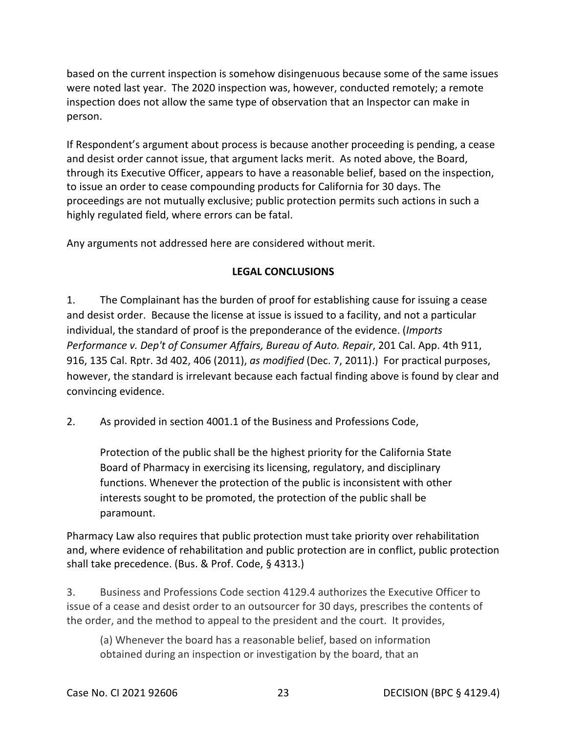based on the current inspection is somehow disingenuous because some of the same issues were noted last year. The 2020 inspection was, however, conducted remotely; a remote inspection does not allow the same type of observation that an Inspector can make in person.

 proceedings are not mutually exclusive; public protection permits such actions in such a If Respondent's argument about process is because another proceeding is pending, a cease and desist order cannot issue, that argument lacks merit. As noted above, the Board, through its Executive Officer, appears to have a reasonable belief, based on the inspection, to issue an order to cease compounding products for California for 30 days. The highly regulated field, where errors can be fatal.

Any arguments not addressed here are considered without merit.

## **LEGAL CONCLUSIONS**

 and desist order. Because the license at issue is issued to a facility, and not a particular 1. The Complainant has the burden of proof for establishing cause for issuing a cease individual, the standard of proof is the preponderance of the evidence. (*Imports Performance v. Dep't of Consumer Affairs, Bureau of Auto. Repair*, 201 Cal. App. 4th 911, 916, 135 Cal. Rptr. 3d 402, 406 (2011), *as modified* (Dec. 7, 2011).) For practical purposes, however, the standard is irrelevant because each factual finding above is found by clear and convincing evidence.

2. As provided in section 4001.1 of the Business and Professions Code,

Protection of the public shall be the highest priority for the California State Board of Pharmacy in exercising its licensing, regulatory, and disciplinary functions. Whenever the protection of the public is inconsistent with other interests sought to be promoted, the protection of the public shall be paramount.

 Pharmacy Law also requires that public protection must take priority over rehabilitation and, where evidence of rehabilitation and public protection are in conflict, public protection shall take precedence. (Bus. & Prof. Code, § 4313.)

 issue of a cease and desist order to an outsourcer for 30 days, prescribes the contents of 3. Business and Professions Code section 4129.4 authorizes the Executive Officer to the order, and the method to appeal to the president and the court. It provides,

(a) Whenever the board has a reasonable belief, based on information obtained during an inspection or investigation by the board, that an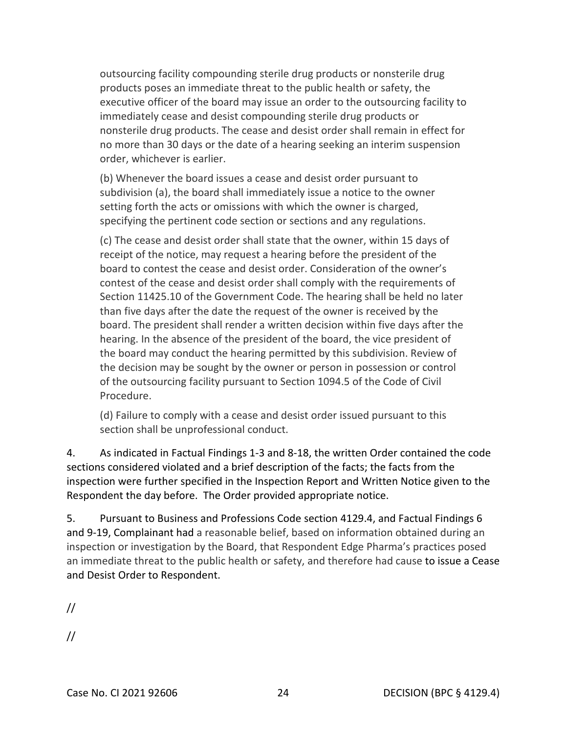executive officer of the board may issue an order to the outsourcing facility to outsourcing facility compounding sterile drug products or nonsterile drug products poses an immediate threat to the public health or safety, the immediately cease and desist compounding sterile drug products or nonsterile drug products. The cease and desist order shall remain in effect for no more than 30 days or the date of a hearing seeking an interim suspension order, whichever is earlier.

(b) Whenever the board issues a cease and desist order pursuant to subdivision (a), the board shall immediately issue a notice to the owner setting forth the acts or omissions with which the owner is charged, specifying the pertinent code section or sections and any regulations.

 (c) The cease and desist order shall state that the owner, within 15 days of board. The president shall render a written decision within five days after the the board may conduct the hearing permitted by this subdivision. Review of receipt of the notice, may request a hearing before the president of the board to contest the cease and desist order. Consideration of the owner's contest of the cease and desist order shall comply with the requirements of Section [11425.10](https://11425.10) of the Government Code. The hearing shall be held no later than five days after the date the request of the owner is received by the hearing. In the absence of the president of the board, the vice president of the decision may be sought by the owner or person in possession or control of the outsourcing facility pursuant to Section 1094.5 of the Code of Civil Procedure.

(d) Failure to comply with a cease and desist order issued pursuant to this section shall be unprofessional conduct.

4. As indicated in Factual Findings 1-3 and 8-18, the written Order contained the code sections considered violated and a brief description of the facts; the facts from the inspection were further specified in the Inspection Report and Written Notice given to the Respondent the day before. The Order provided appropriate notice.

and Desist Order to Respondent.<br>// 5. Pursuant to Business and Professions Code section 4129.4, and Factual Findings 6 and 9-19, Complainant had a reasonable belief, based on information obtained during an inspection or investigation by the Board, that Respondent Edge Pharma's practices posed an immediate threat to the public health or safety, and therefore had cause to issue a Cease

//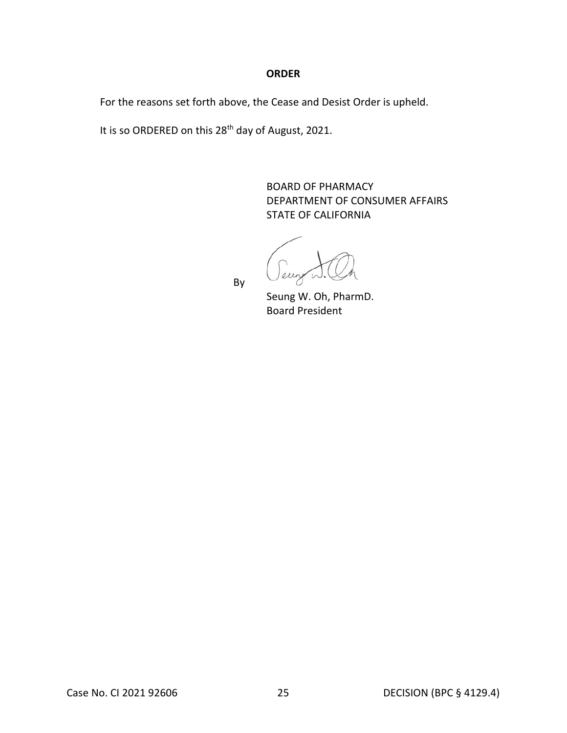#### **ORDER**

For the reasons set forth above, the Cease and Desist Order is upheld.

It is so ORDERED on this 28<sup>th</sup> day of August, 2021.

**STATE OF CALIFORNIA** BOARD OF PHARMACY DEPARTMENT OF CONSUMER AFFAIRS

STATE OF CALIFORNIA<br>By

Seung W. Oh, PharmD. Board President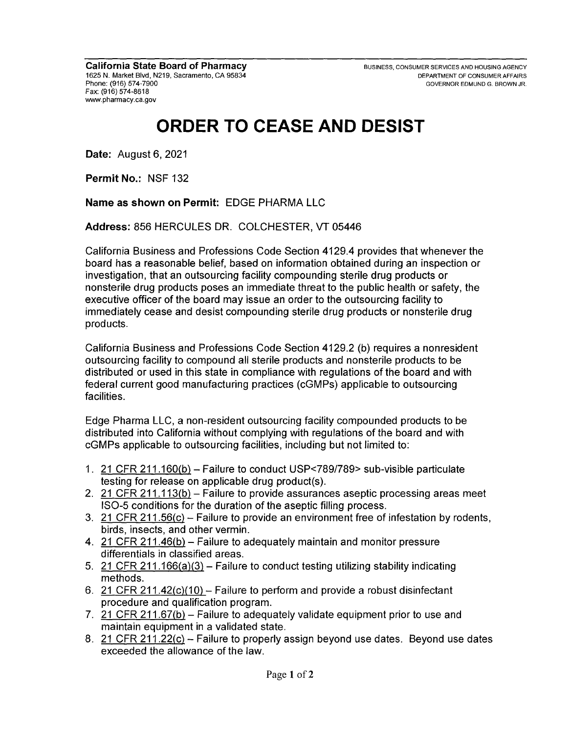# **ORDER TO CEASE AND DESIST**

**Date:** August 6, 2021

**Permit No.:** NSF 132

**Name as shown on Permit:** EDGE PHARMA LLC

**Address:** 856 HERCULES DR. COLCHESTER, VT 05446

California Business and Professions Code Section 4129.4 provides that whenever the board has a reasonable belief, based on information obtained during an inspection or investigation, that an outsourcing facility compounding sterile drug products or nonsterile drug products poses an immediate threat to the public health or safety, the executive officer of the board may issue an order to the outsourcing facility to immediately cease and desist compounding sterile drug products or nonsterile drug products.

California Business and Professions Code Section 4129.2 (b) requires a nonresident outsourcing facility to compound all sterile products and nonsterile products to be distributed or used in this state in compliance with regulations of the board and with federal current good manufacturing practices (cGMPs) applicable to outsourcing facilities.

Edge Pharma LLC, a non-resident outsourcing facility compounded products to be distributed into California without complying with regulations of the board and with cGMPs applicable to outsourcing facilities, including but not limited to:

- 1. 21 CFR 211.160(b)- Failure to conduct USP<789/789> sub-visible particulate testing for release on applicable drug product(s).
- 2. 21 CFR 211.113(b) Failure to provide assurances aseptic processing areas meet ISO-5 conditions for the duration of the aseptic filling process.
- 3. 21 CFR 211.56(c) Failure to provide an environment free of infestation by rodents, birds, insects, and other vermin.
- 4. 21 CFR 211.46(b) Failure to adequately maintain and monitor pressure differentials in classified areas.
- 5. 21 CFR 211.166(a)(3) Failure to conduct testing utilizing stability indicating methods.
- 6. 21 CFR 211.42(c)(10) Failure to perform and provide a robust disinfectant procedure and qualification program.
- 7. 21 CFR 211.67(b) Failure to adequately validate equipment prior to use and maintain equipment in a validated state.
- 8. 21 CFR 211.22(c) Failure to properly assign beyond use dates. Beyond use dates exceeded the allowance of the law.